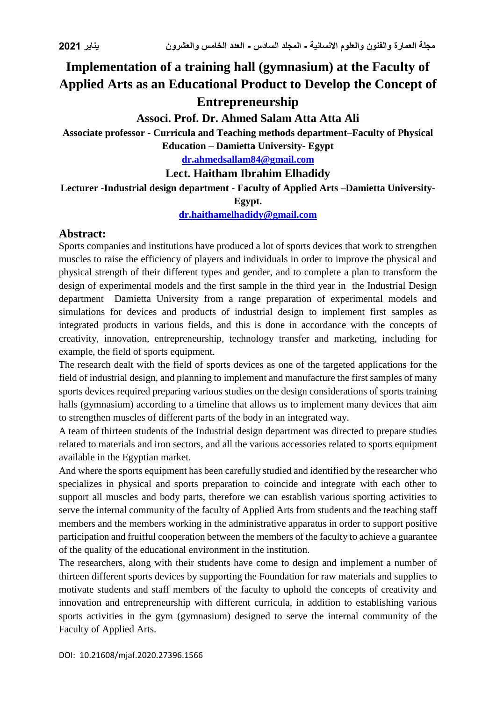# **Implementation of a training hall (gymnasium) at the Faculty of Applied Arts as an Educational Product to Develop the Concept of Entrepreneurship**

### **Associ. Prof. Dr. Ahmed Salam Atta Atta Ali**

**Associate professor - Curricula and Teaching methods department–Faculty of Physical Education – Damietta University- Egypt**

**[dr.ahmedsallam84@gmail.com](mailto:dr.ahmedsallam84@gmail.com)**

#### **Lect. Haitham Ibrahim Elhadidy**

**Lecturer -Industrial design department - Faculty of Applied Arts –Damietta University-**

**Egypt.**

**[dr.haithamelhadidy@gmail.com](mailto:dr.haithamelhadidy@gmail.com)**

#### **Abstract:**

Sports companies and institutions have produced a lot of sports devices that work to strengthen muscles to raise the efficiency of players and individuals in order to improve the physical and physical strength of their different types and gender, and to complete a plan to transform the design of experimental models and the first sample in the third year in the Industrial Design department Damietta University from a range preparation of experimental models and simulations for devices and products of industrial design to implement first samples as integrated products in various fields, and this is done in accordance with the concepts of creativity, innovation, entrepreneurship, technology transfer and marketing, including for example, the field of sports equipment.

The research dealt with the field of sports devices as one of the targeted applications for the field of industrial design, and planning to implement and manufacture the first samples of many sports devices required preparing various studies on the design considerations of sports training halls (gymnasium) according to a timeline that allows us to implement many devices that aim to strengthen muscles of different parts of the body in an integrated way.

A team of thirteen students of the Industrial design department was directed to prepare studies related to materials and iron sectors, and all the various accessories related to sports equipment available in the Egyptian market.

And where the sports equipment has been carefully studied and identified by the researcher who specializes in physical and sports preparation to coincide and integrate with each other to support all muscles and body parts, therefore we can establish various sporting activities to serve the internal community of the faculty of Applied Arts from students and the teaching staff members and the members working in the administrative apparatus in order to support positive participation and fruitful cooperation between the members of the faculty to achieve a guarantee of the quality of the educational environment in the institution.

The researchers, along with their students have come to design and implement a number of thirteen different sports devices by supporting the Foundation for raw materials and supplies to motivate students and staff members of the faculty to uphold the concepts of creativity and innovation and entrepreneurship with different curricula, in addition to establishing various sports activities in the gym (gymnasium) designed to serve the internal community of the Faculty of Applied Arts.